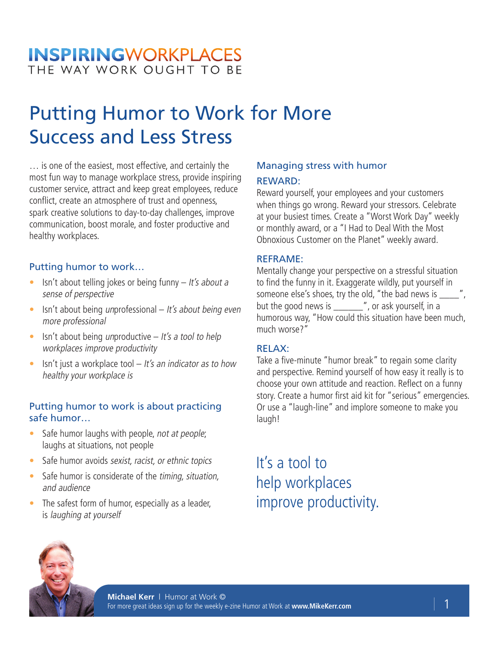### **INSPIRINGWORKPLACES** THE WAY WORK OUGHT TO BE

# Putting Humor to Work for More Success and Less Stress

… is one of the easiest, most effective, and certainly the most fun way to manage workplace stress, provide inspiring customer service, attract and keep great employees, reduce conflict, create an atmosphere of trust and openness, spark creative solutions to day-to-day challenges, improve communication, boost morale, and foster productive and healthy workplaces.

### Putting humor to work…

- Isn't about telling jokes or being funny  $-$  It's about a sense of perspective
- Isn't about being unprofessional  $It's about being even$ more professional
- Isn't about being unproductive  $-$  It's a tool to help workplaces improve productivity
- Isn't just a workplace tool  $-$  It's an indicator as to how healthy your workplace is

### Putting humor to work is about practicing safe humor…

- Safe humor laughs with people, not at people; laughs at situations, not people
- Safe humor avoids sexist, racist, or ethnic topics
- Safe humor is considerate of the timing, situation, and audience
- The safest form of humor, especially as a leader, is laughing at yourself

### Managing stress with humor

#### REWARD:

Reward yourself, your employees and your customers when things go wrong. Reward your stressors. Celebrate at your busiest times. Create a "Worst Work Day" weekly or monthly award, or a "I Had to Deal With the Most Obnoxious Customer on the Planet" weekly award.

#### REFRAME:

Mentally change your perspective on a stressful situation to find the funny in it. Exaggerate wildly, put yourself in someone else's shoes, try the old, "the bad news is \_\_\_\_", but the good news is \_\_\_\_\_\_", or ask yourself, in a humorous way, "How could this situation have been much, much worse?"

### RELAX:

Take a five-minute "humor break" to regain some clarity and perspective. Remind yourself of how easy it really is to choose your own attitude and reaction. Reflect on a funny story. Create a humor first aid kit for "serious" emergencies. Or use a "laugh-line" and implore someone to make you laugh!

It's a tool to help workplaces improve productivity.

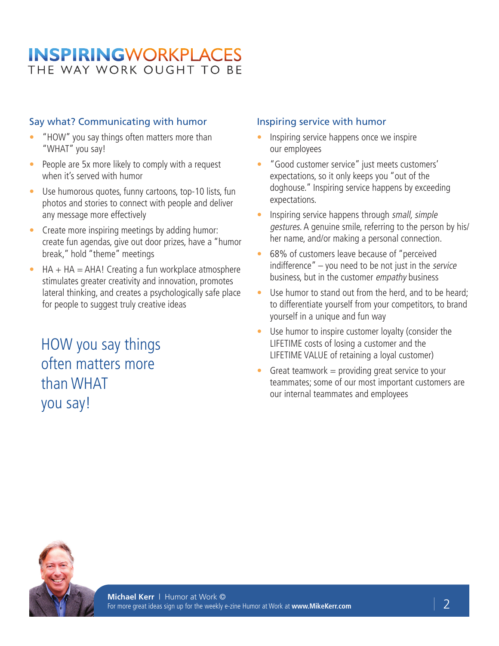### **INSPIRINGWORKPLACES** THE WAY WORK OUGHT TO BE

### Say what? Communicating with humor

- "HOW" you say things often matters more than "WHAT" you say!
- People are 5x more likely to comply with a request when it's served with humor
- Use humorous quotes, funny cartoons, top-10 lists, fun photos and stories to connect with people and deliver any message more effectively
- Create more inspiring meetings by adding humor: create fun agendas, give out door prizes, have a "humor break," hold "theme" meetings
- $HA + HA = AHA!$  Creating a fun workplace atmosphere stimulates greater creativity and innovation, promotes lateral thinking, and creates a psychologically safe place for people to suggest truly creative ideas

HOW you say things often matters more than WHAT you say!

#### Inspiring service with humor

- Inspiring service happens once we inspire our employees
- "Good customer service" just meets customers' expectations, so it only keeps you "out of the doghouse." Inspiring service happens by exceeding expectations.
- Inspiring service happens through small, simple gestures. A genuine smile, referring to the person by his/ her name, and/or making a personal connection.
- 68% of customers leave because of "perceived indifference"  $-$  you need to be not just in the service business, but in the customer empathy business
- Use humor to stand out from the herd, and to be heard: to differentiate yourself from your competitors, to brand yourself in a unique and fun way
- Use humor to inspire customer loyalty (consider the LIFETIME costs of losing a customer and the LIFETIME VALUE of retaining a loyal customer)
- Great teamwork  $=$  providing great service to your teammates; some of our most important customers are our internal teammates and employees